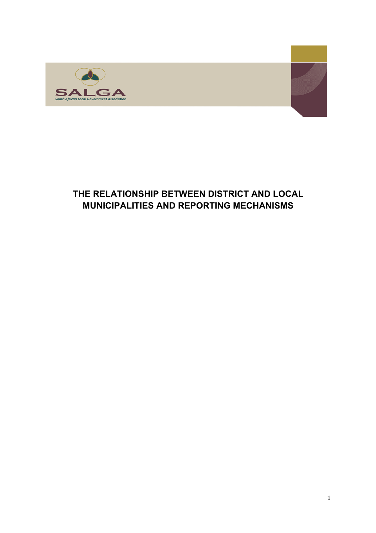

## **THE RELATIONSHIP BETWEEN DISTRICT AND LOCAL MUNICIPALITIES AND REPORTING MECHANISMS**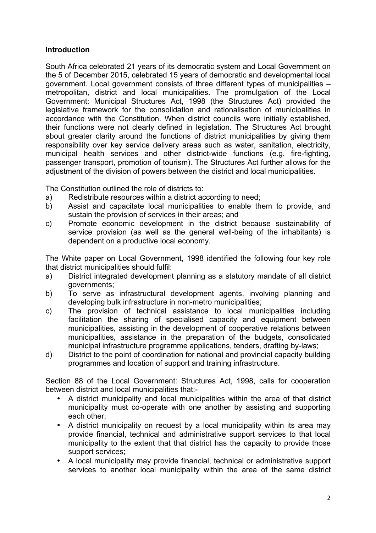## **Introduction**

South Africa celebrated 21 years of its democratic system and Local Government on the 5 of December 2015, celebrated 15 years of democratic and developmental local government. Local government consists of three different types of municipalities – metropolitan, district and local municipalities. The promulgation of the Local Government: Municipal Structures Act, 1998 (the Structures Act) provided the legislative framework for the consolidation and rationalisation of municipalities in accordance with the Constitution. When district councils were initially established, their functions were not clearly defined in legislation. The Structures Act brought about greater clarity around the functions of district municipalities by giving them responsibility over key service delivery areas such as water, sanitation, electricity, municipal health services and other district-wide functions (e.g. fire-fighting, passenger transport, promotion of tourism). The Structures Act further allows for the adjustment of the division of powers between the district and local municipalities.

The Constitution outlined the role of districts to:

- a) Redistribute resources within a district according to need;
- b) Assist and capacitate local municipalities to enable them to provide, and sustain the provision of services in their areas; and
- c) Promote economic development in the district because sustainability of service provision (as well as the general well-being of the inhabitants) is dependent on a productive local economy.

The White paper on Local Government, 1998 identified the following four key role that district municipalities should fulfil:

- a) District integrated development planning as a statutory mandate of all district governments;
- b) To serve as infrastructural development agents, involving planning and developing bulk infrastructure in non-metro municipalities;
- c) The provision of technical assistance to local municipalities including facilitation the sharing of specialised capacity and equipment between municipalities, assisting in the development of cooperative relations between municipalities, assistance in the preparation of the budgets, consolidated municipal infrastructure programme applications, tenders, drafting by-laws;
- d) District to the point of coordination for national and provincial capacity building programmes and location of support and training infrastructure.

Section 88 of the Local Government: Structures Act, 1998, calls for cooperation between district and local municipalities that:-

- A district municipality and local municipalities within the area of that district municipality must co-operate with one another by assisting and supporting each other;
- A district municipality on request by a local municipality within its area may provide financial, technical and administrative support services to that local municipality to the extent that that district has the capacity to provide those support services;
- A local municipality may provide financial, technical or administrative support services to another local municipality within the area of the same district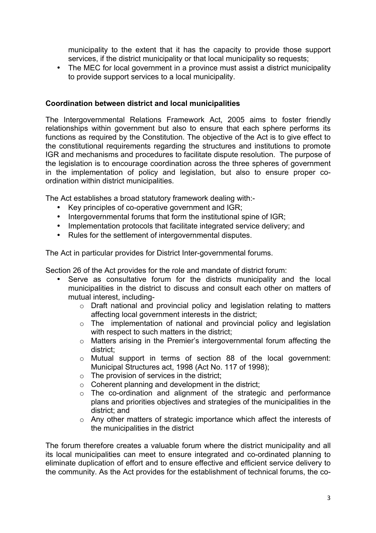municipality to the extent that it has the capacity to provide those support services, if the district municipality or that local municipality so requests;

• The MEC for local government in a province must assist a district municipality to provide support services to a local municipality.

## **Coordination between district and local municipalities**

The Intergovernmental Relations Framework Act, 2005 aims to foster friendly relationships within government but also to ensure that each sphere performs its functions as required by the Constitution. The objective of the Act is to give effect to the constitutional requirements regarding the structures and institutions to promote IGR and mechanisms and procedures to facilitate dispute resolution. The purpose of the legislation is to encourage coordination across the three spheres of government in the implementation of policy and legislation, but also to ensure proper coordination within district municipalities.

The Act establishes a broad statutory framework dealing with:-

- Key principles of co-operative government and IGR;
- Intergovernmental forums that form the institutional spine of IGR;
- Implementation protocols that facilitate integrated service delivery; and
- Rules for the settlement of intergovernmental disputes.

The Act in particular provides for District Inter-governmental forums.

Section 26 of the Act provides for the role and mandate of district forum:

- Serve as consultative forum for the districts municipality and the local municipalities in the district to discuss and consult each other on matters of mutual interest, including
	- o Draft national and provincial policy and legislation relating to matters affecting local government interests in the district;
	- o The implementation of national and provincial policy and legislation with respect to such matters in the district;
	- o Matters arising in the Premier's intergovernmental forum affecting the district;
	- o Mutual support in terms of section 88 of the local government: Municipal Structures act, 1998 (Act No. 117 of 1998);
	- $\circ$  The provision of services in the district;
	- $\circ$  Coherent planning and development in the district:
	- o The co-ordination and alignment of the strategic and performance plans and priorities objectives and strategies of the municipalities in the district; and
	- o Any other matters of strategic importance which affect the interests of the municipalities in the district

The forum therefore creates a valuable forum where the district municipality and all its local municipalities can meet to ensure integrated and co-ordinated planning to eliminate duplication of effort and to ensure effective and efficient service delivery to the community. As the Act provides for the establishment of technical forums, the co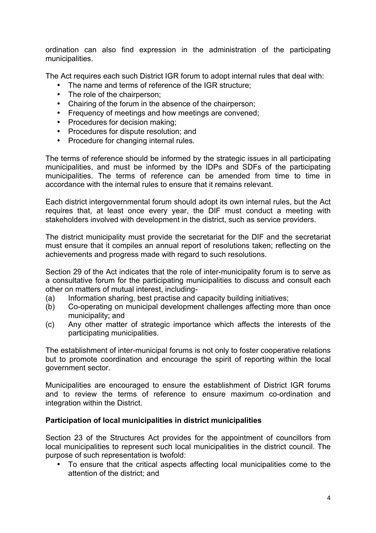ordination can also find expression in the administration of the participating municipalities.

The Act requires each such District IGR forum to adopt internal rules that deal with:

- The name and terms of reference of the IGR structure;
- The role of the chairperson:
- Chairing of the forum in the absence of the chairperson;
- Frequency of meetings and how meetings are convened;
- Procedures for decision making;
- Procedures for dispute resolution; and
- Procedure for changing internal rules.

The terms of reference should be informed by the strategic issues in all participating municipalities, and must be informed by the IDPs and SDFs of the participating municipalities. The terms of reference can be amended from time to time in accordance with the internal rules to ensure that it remains relevant.

Each district intergovernmental forum should adopt its own internal rules, but the Act requires that, at least once every year, the DIF must conduct a meeting with stakeholders involved with development in the district, such as service providers.

The district municipality must provide the secretariat for the DIF and the secretariat must ensure that it compiles an annual report of resolutions taken; reflecting on the achievements and progress made with regard to such resolutions.

Section 29 of the Act indicates that the role of inter-municipality forum is to serve as a consultative forum for the participating municipalities to discuss and consult each other on matters of mutual interest, including-

- (a) Information sharing, best practise and capacity building initiatives;
- (b) Co-operating on municipal development challenges affecting more than once municipality; and
- (c) Any other matter of strategic importance which affects the interests of the participating municipalities.

The establishment of inter-municipal forums is not only to foster cooperative relations but to promote coordination and encourage the spirit of reporting within the local government sector.

Municipalities are encouraged to ensure the establishment of District IGR forums and to review the terms of reference to ensure maximum co-ordination and integration within the District.

## **Participation of local municipalities in district municipalities**

Section 23 of the Structures Act provides for the appointment of councillors from local municipalities to represent such local municipalities in the district council. The purpose of such representation is twofold:

• To ensure that the critical aspects affecting local municipalities come to the attention of the district; and